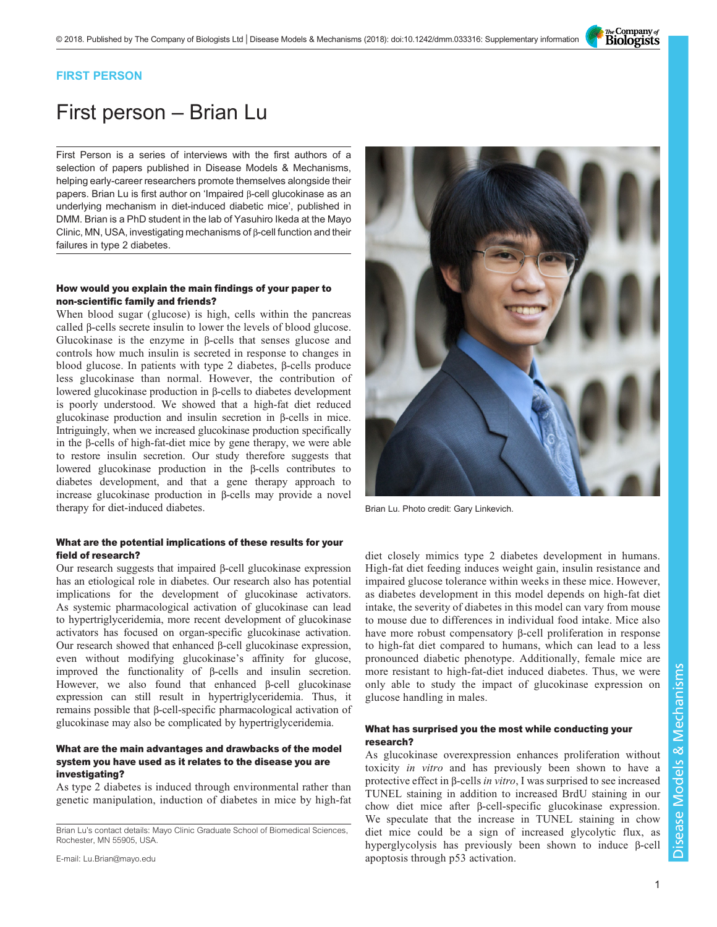The Company of<br>**Biologists** 

### FIRST PERSON

# First person – Brian Lu

First Person is a series of interviews with the first authors of a selection of papers published in Disease Models & Mechanisms, helping early-career researchers promote themselves alongside their papers. Brian Lu is first author on 'Impaired β[-cell glucokinase as an](#page-1-0) [underlying mechanism in diet-induced diabetic mice](#page-1-0)', published in DMM. Brian is a PhD student in the lab of Yasuhiro Ikeda at the Mayo Clinic, MN, USA, investigating mechanisms of β-cell function and their failures in type 2 diabetes.

### How would you explain the main findings of your paper to non-scientific family and friends?

When blood sugar (glucose) is high, cells within the pancreas called β-cells secrete insulin to lower the levels of blood glucose. Glucokinase is the enzyme in β-cells that senses glucose and controls how much insulin is secreted in response to changes in blood glucose. In patients with type 2 diabetes, β-cells produce less glucokinase than normal. However, the contribution of lowered glucokinase production in β-cells to diabetes development is poorly understood. We showed that a high-fat diet reduced glucokinase production and insulin secretion in β-cells in mice. Intriguingly, when we increased glucokinase production specifically in the β-cells of high-fat-diet mice by gene therapy, we were able to restore insulin secretion. Our study therefore suggests that lowered glucokinase production in the β-cells contributes to diabetes development, and that a gene therapy approach to increase glucokinase production in β-cells may provide a novel therapy for diet-induced diabetes.

### What are the potential implications of these results for your field of research?

Our research suggests that impaired β-cell glucokinase expression has an etiological role in diabetes. Our research also has potential implications for the development of glucokinase activators. As systemic pharmacological activation of glucokinase can lead to hypertriglyceridemia, more recent development of glucokinase activators has focused on organ-specific glucokinase activation. Our research showed that enhanced β-cell glucokinase expression, even without modifying glucokinase's affinity for glucose, improved the functionality of β-cells and insulin secretion. However, we also found that enhanced β-cell glucokinase expression can still result in hypertriglyceridemia. Thus, it remains possible that β-cell-specific pharmacological activation of glucokinase may also be complicated by hypertriglyceridemia.

### What are the main advantages and drawbacks of the model system you have used as it relates to the disease you are investigating?

As type 2 diabetes is induced through environmental rather than genetic manipulation, induction of diabetes in mice by high-fat

E-mail: [Lu.Brian@mayo.edu](mailto:Lu.Brian@mayo.edu)



Brian Lu. Photo credit: Gary Linkevich.

diet closely mimics type 2 diabetes development in humans. High-fat diet feeding induces weight gain, insulin resistance and impaired glucose tolerance within weeks in these mice. However, as diabetes development in this model depends on high-fat diet intake, the severity of diabetes in this model can vary from mouse to mouse due to differences in individual food intake. Mice also have more robust compensatory β-cell proliferation in response to high-fat diet compared to humans, which can lead to a less pronounced diabetic phenotype. Additionally, female mice are more resistant to high-fat-diet induced diabetes. Thus, we were only able to study the impact of glucokinase expression on glucose handling in males.

### What has surprised you the most while conducting your research?

As glucokinase overexpression enhances proliferation without toxicity in vitro and has previously been shown to have a protective effect in β-cells in vitro, I was surprised to see increased TUNEL staining in addition to increased BrdU staining in our chow diet mice after β-cell-specific glucokinase expression. We speculate that the increase in TUNEL staining in chow diet mice could be a sign of increased glycolytic flux, as hyperglycolysis has previously been shown to induce β-cell apoptosis through p53 activation.

Brian Lu's contact details: Mayo Clinic Graduate School of Biomedical Sciences, Rochester, MN 55905, USA.